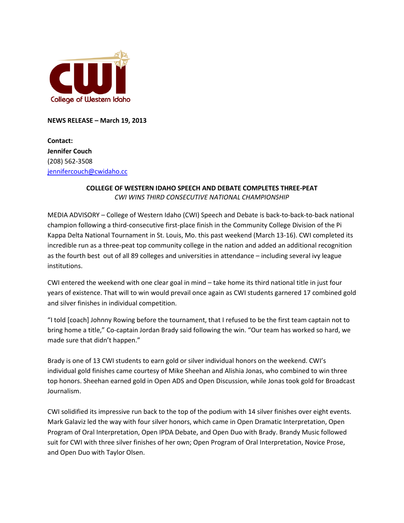

**NEWS RELEASE – March 19, 2013**

**Contact: Jennifer Couch** (208) 562-3508 [jennifercouch@cwidaho.cc](mailto:jennifercouch@cwidaho.cc)

## **COLLEGE OF WESTERN IDAHO SPEECH AND DEBATE COMPLETES THREE-PEAT** *CWI WINS THIRD CONSECUTIVE NATIONAL CHAMPIONSHIP*

MEDIA ADVISORY – College of Western Idaho (CWI) Speech and Debate is back-to-back-to-back national champion following a third-consecutive first-place finish in the Community College Division of the Pi Kappa Delta National Tournament in St. Louis, Mo. this past weekend (March 13-16). CWI completed its incredible run as a three-peat top community college in the nation and added an additional recognition as the fourth best out of all 89 colleges and universities in attendance – including several ivy league institutions.

CWI entered the weekend with one clear goal in mind – take home its third national title in just four years of existence. That will to win would prevail once again as CWI students garnered 17 combined gold and silver finishes in individual competition.

"I told [coach] Johnny Rowing before the tournament, that I refused to be the first team captain not to bring home a title," Co-captain Jordan Brady said following the win. "Our team has worked so hard, we made sure that didn't happen."

Brady is one of 13 CWI students to earn gold or silver individual honors on the weekend. CWI's individual gold finishes came courtesy of Mike Sheehan and Alishia Jonas, who combined to win three top honors. Sheehan earned gold in Open ADS and Open Discussion, while Jonas took gold for Broadcast Journalism.

CWI solidified its impressive run back to the top of the podium with 14 silver finishes over eight events. Mark Galaviz led the way with four silver honors, which came in Open Dramatic Interpretation, Open Program of Oral Interpretation, Open IPDA Debate, and Open Duo with Brady. Brandy Music followed suit for CWI with three silver finishes of her own; Open Program of Oral Interpretation, Novice Prose, and Open Duo with Taylor Olsen.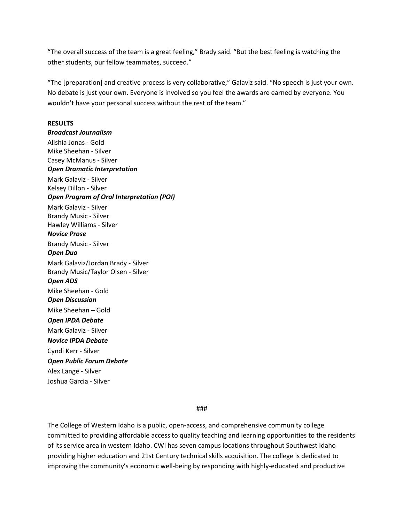"The overall success of the team is a great feeling," Brady said. "But the best feeling is watching the other students, our fellow teammates, succeed."

"The [preparation] and creative process is very collaborative," Galaviz said. "No speech is just your own. No debate is just your own. Everyone is involved so you feel the awards are earned by everyone. You wouldn't have your personal success without the rest of the team."

## **RESULTS**

*Broadcast Journalism* Alishia Jonas - Gold Mike Sheehan - Silver Casey McManus - Silver *Open Dramatic Interpretation* Mark Galaviz - Silver Kelsey Dillon - Silver *Open Program of Oral Interpretation (POI)* Mark Galaviz - Silver Brandy Music - Silver Hawley Williams - Silver *Novice Prose* Brandy Music - Silver *Open Duo* Mark Galaviz/Jordan Brady - Silver Brandy Music/Taylor Olsen - Silver *Open ADS* Mike Sheehan - Gold *Open Discussion* Mike Sheehan – Gold *Open IPDA Debate* Mark Galaviz - Silver *Novice IPDA Debate* Cyndi Kerr - Silver *Open Public Forum Debate* Alex Lange - Silver Joshua Garcia - Silver

###

The College of Western Idaho is a public, open-access, and comprehensive community college committed to providing affordable access to quality teaching and learning opportunities to the residents of its service area in western Idaho. CWI has seven campus locations throughout Southwest Idaho providing higher education and 21st Century technical skills acquisition. The college is dedicated to improving the community's economic well-being by responding with highly-educated and productive